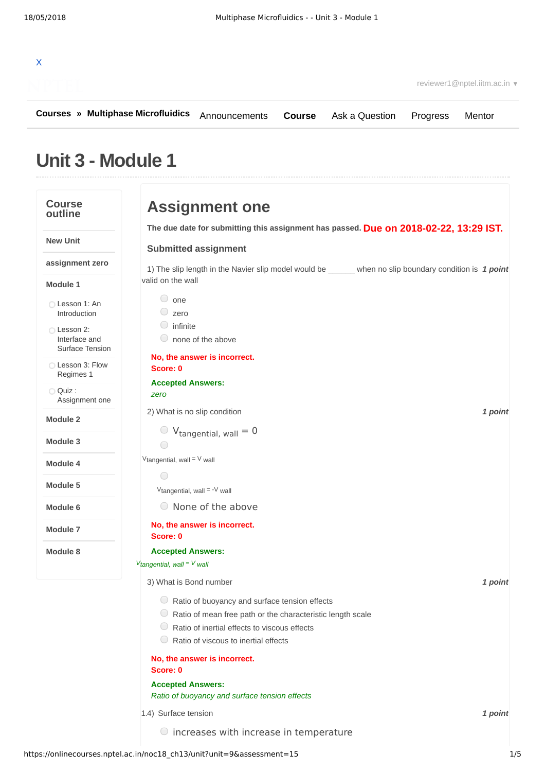

**[Courses](https://onlinecourses.nptel.ac.in/) » [Multiphase Microfluidics](https://onlinecourses.nptel.ac.in/noc18_ch13/course)** [Announcements](https://onlinecourses.nptel.ac.in/noc18_ch13/announcements) **[Course](https://onlinecourses.nptel.ac.in/noc18_ch13/course)** [Ask a Question](https://onlinecourses.nptel.ac.in/noc18_ch13/forum) [Progress](https://onlinecourses.nptel.ac.in/noc18_ch13/student/home) [Mentor](https://onlinecourses.nptel.ac.in/noc18_ch13/student/mentor)

# **Unit 3 - Module 1**

| <b>Course</b><br>outline                        | <b>Assignment one</b>                                                                                                                                                                                                                  |
|-------------------------------------------------|----------------------------------------------------------------------------------------------------------------------------------------------------------------------------------------------------------------------------------------|
|                                                 | The due date for submitting this assignment has passed. Due on 2018-02-22, 13:29 IST.                                                                                                                                                  |
| <b>New Unit</b>                                 | <b>Submitted assignment</b>                                                                                                                                                                                                            |
| assignment zero                                 | 1) The slip length in the Navier slip model would be _____ when no slip boundary condition is 1 point                                                                                                                                  |
| Module 1                                        | valid on the wall                                                                                                                                                                                                                      |
| Lesson 1: An<br>Introduction                    | $\circ$ one<br>$\circ$ zero                                                                                                                                                                                                            |
| ◯ Lesson 2:<br>Interface and<br>Surface Tension | $\circ$ infinite<br>$\circ$ none of the above                                                                                                                                                                                          |
| Lesson 3: Flow<br>Regimes 1                     | No, the answer is incorrect.<br>Score: 0                                                                                                                                                                                               |
| $\bigcirc$ Quiz :<br>Assignment one             | <b>Accepted Answers:</b><br>zero                                                                                                                                                                                                       |
| <b>Module 2</b>                                 | 1 point<br>2) What is no slip condition                                                                                                                                                                                                |
| Module 3                                        | $V_{tangential, wall} = 0$<br>$\bigcap$                                                                                                                                                                                                |
| Module 4                                        | $V$ tangential, wall = $V$ wall                                                                                                                                                                                                        |
| Module 5                                        | 0                                                                                                                                                                                                                                      |
|                                                 | $V$ tangential, wall = $-V$ wall                                                                                                                                                                                                       |
| Module 6                                        | $\circ$ None of the above                                                                                                                                                                                                              |
| Module 7                                        | No, the answer is incorrect.<br>Score: 0                                                                                                                                                                                               |
| Module 8                                        | <b>Accepted Answers:</b>                                                                                                                                                                                                               |
|                                                 | $V_{tangential, wall} = V_{wall}$                                                                                                                                                                                                      |
|                                                 | 3) What is Bond number<br>1 point                                                                                                                                                                                                      |
|                                                 | $\circ$ Ratio of buoyancy and surface tension effects<br>$\Box$ Ratio of mean free path or the characteristic length scale<br>$\cup$<br>Ratio of inertial effects to viscous effects<br>$\cup$<br>Ratio of viscous to inertial effects |
|                                                 | No, the answer is incorrect.<br>Score: 0                                                                                                                                                                                               |
|                                                 | <b>Accepted Answers:</b><br>Ratio of buoyancy and surface tension effects                                                                                                                                                              |
|                                                 | 1.4) Surface tension<br>1 point                                                                                                                                                                                                        |
|                                                 | <b>O</b> increases with increase in temperature                                                                                                                                                                                        |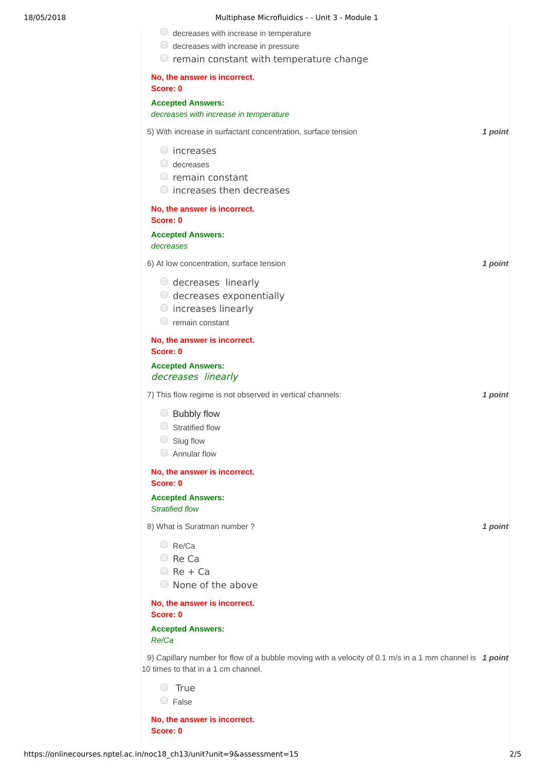| 18/05/2018 | Multiphase Microfluidics - - Unit 3 - Module 1                                                                                                 |         |
|------------|------------------------------------------------------------------------------------------------------------------------------------------------|---------|
|            | $\bigcirc$ decreases with increase in temperature                                                                                              |         |
|            | $\bigcirc$ decreases with increase in pressure                                                                                                 |         |
|            | $\circ$ remain constant with temperature change                                                                                                |         |
|            | No, the answer is incorrect.<br>Score: 0                                                                                                       |         |
|            | <b>Accepted Answers:</b>                                                                                                                       |         |
|            | decreases with increase in temperature                                                                                                         |         |
|            | 5) With increase in surfactant concentration, surface tension                                                                                  | 1 point |
|            | $\circ$ increases                                                                                                                              |         |
|            | $\bigcirc$ decreases                                                                                                                           |         |
|            | $\circ$ remain constant                                                                                                                        |         |
|            | $\bigcirc$ increases then decreases                                                                                                            |         |
|            | No, the answer is incorrect.<br>Score: 0                                                                                                       |         |
|            | <b>Accepted Answers:</b><br>decreases                                                                                                          |         |
|            | 6) At low concentration, surface tension                                                                                                       | 1 point |
|            | $\circ$ decreases linearly                                                                                                                     |         |
|            | $\circ$ decreases exponentially                                                                                                                |         |
|            | $\circ$ increases linearly                                                                                                                     |         |
|            | $\circ$ remain constant                                                                                                                        |         |
|            | No, the answer is incorrect.<br>Score: 0                                                                                                       |         |
|            | <b>Accepted Answers:</b><br>decreases linearly                                                                                                 |         |
|            | 7) This flow regime is not observed in vertical channels:                                                                                      | 1 point |
|            | $\bigcirc$ Bubbly flow                                                                                                                         |         |
|            | Stratified flow<br>$\cup$                                                                                                                      |         |
|            | Slug flow<br>$\cup$                                                                                                                            |         |
|            | Annular flow<br>$\bigcirc$                                                                                                                     |         |
|            | No, the answer is incorrect.<br>Score: 0                                                                                                       |         |
|            | <b>Accepted Answers:</b>                                                                                                                       |         |
|            | <b>Stratified flow</b>                                                                                                                         |         |
|            | 8) What is Suratman number?                                                                                                                    | 1 point |
|            | $\bigcirc$ Re/Ca                                                                                                                               |         |
|            | $\circ$ Re Ca                                                                                                                                  |         |
|            | $ORe + Ca$                                                                                                                                     |         |
|            | ○ None of the above                                                                                                                            |         |
|            | No, the answer is incorrect.<br>Score: 0                                                                                                       |         |
|            | <b>Accepted Answers:</b><br>Re/Ca                                                                                                              |         |
|            | 9) Capillary number for flow of a bubble moving with a velocity of 0.1 m/s in a 1 mm channel is 1 point<br>10 times to that in a 1 cm channel. |         |
|            | <b>True</b>                                                                                                                                    |         |

False

**No, the answer is incorrect. Score: 0**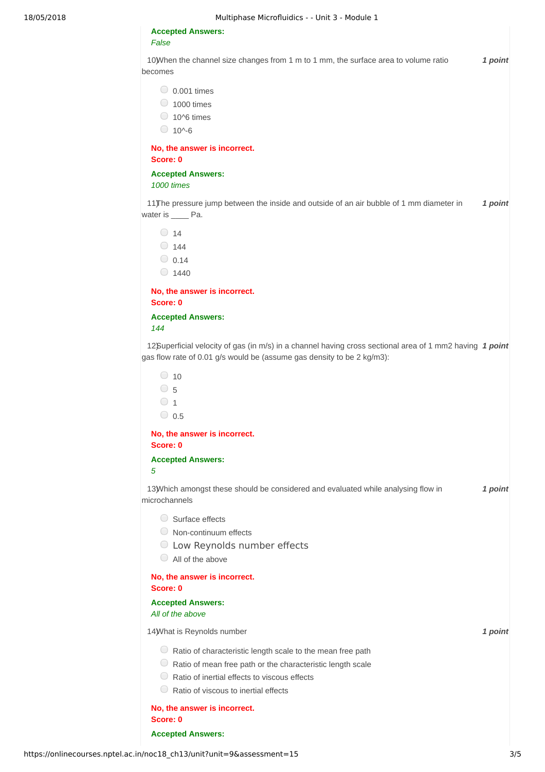#### **Accepted Answers:** *False*

10) *1 point* When the channel size changes from 1 m to 1 mm, the surface area to volume ratio becomes

 $\bigcirc$  0.001 times

- $\bigcirc$  1000 times
- $\bigcirc$  10^6 times
- $0.10^{0.6}$

**No, the answer is incorrect. Score: 0**

### **Accepted Answers:**

*1000 times*

11) The pressure jump between the inside and outside of an air bubble of 1 mm diameter in **1 point** water is **Pa.** 

 $\bigcirc$  14  $\bigcirc$  144  $\bigcirc$  0.14  $\bigcirc$  1440

**No, the answer is incorrect. Score: 0**

**Accepted Answers:** *144*

12) **1** *a pointing the interpropertion of the in a channel having cross sectional area of 1 mm2 having 1 point* gas flow rate of 0.01 g/s would be (assume gas density to be 2 kg/m3):

| 10  |
|-----|
| 5   |
|     |
| 0.5 |
|     |

**No, the answer is incorrect. Score: 0**

**Accepted Answers:**

*5*

13) Which amongst these should be considered and evaluated while analysing flow in **1 point** microchannels

- Surface effects
- Non-continuum effects
- Low Reynolds number effects
- All of the above

#### **No, the answer is incorrect. Score: 0**

**Accepted Answers:**

*All of the above*

14) *1 point* What is Reynolds number

 $\bigcirc$  Ratio of characteristic length scale to the mean free path

- $\circledcirc$  Ratio of mean free path or the characteristic length scale
- $\bigcirc$  Ratio of inertial effects to viscous effects
- $\bigcirc$  Ratio of viscous to inertial effects

**No, the answer is incorrect. Score: 0**

**Accepted Answers:**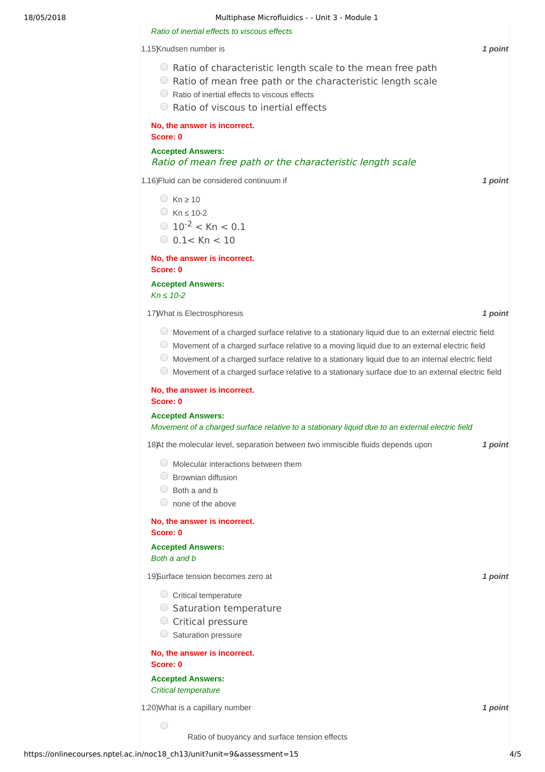## 18/05/2018 Multiphase Microfluidics - - Unit 3 - Module 1

| Ratio of inertial effects to viscous effects                                                                                                                                                                                                                                                                                                                                                                                |         |
|-----------------------------------------------------------------------------------------------------------------------------------------------------------------------------------------------------------------------------------------------------------------------------------------------------------------------------------------------------------------------------------------------------------------------------|---------|
| 1.15Knudsen number is                                                                                                                                                                                                                                                                                                                                                                                                       | 1 point |
| ○ Ratio of characteristic length scale to the mean free path<br>○ Ratio of mean free path or the characteristic length scale<br>$\cup$<br>Ratio of inertial effects to viscous effects<br>○ Ratio of viscous to inertial effects                                                                                                                                                                                            |         |
| No, the answer is incorrect.<br>Score: 0                                                                                                                                                                                                                                                                                                                                                                                    |         |
| <b>Accepted Answers:</b><br>Ratio of mean free path or the characteristic length scale                                                                                                                                                                                                                                                                                                                                      |         |
| 1.16) Fluid can be considered continuum if                                                                                                                                                                                                                                                                                                                                                                                  | 1 point |
| $Kn \ge 10$<br>$Kn \leq 10-2$<br>$\bigcirc$ 10 <sup>-2</sup> < Kn < 0.1<br>$0.1 <$ Kn $< 10$                                                                                                                                                                                                                                                                                                                                |         |
| No, the answer is incorrect.<br>Score: 0                                                                                                                                                                                                                                                                                                                                                                                    |         |
| <b>Accepted Answers:</b><br>$Kn \leq 10-2$                                                                                                                                                                                                                                                                                                                                                                                  |         |
| 17) What is Electrosphoresis                                                                                                                                                                                                                                                                                                                                                                                                | 1 point |
| O Movement of a charged surface relative to a stationary liquid due to an external electric field<br>$\cup$<br>Movement of a charged surface relative to a moving liquid due to an external electric field<br>$\cup$<br>Movement of a charged surface relative to a stationary liquid due to an internal electric field<br>Movement of a charged surface relative to a stationary surface due to an external electric field |         |
| No, the answer is incorrect.<br>Score: 0                                                                                                                                                                                                                                                                                                                                                                                    |         |
| <b>Accepted Answers:</b><br>Movement of a charged surface relative to a stationary liquid due to an external electric field                                                                                                                                                                                                                                                                                                 |         |
| 18)At the molecular level, separation between two immiscible fluids depends upon                                                                                                                                                                                                                                                                                                                                            | 1 point |
| Molecular interactions between them<br>Brownian diffusion<br>$\cup$<br>Both a and b<br>none of the above                                                                                                                                                                                                                                                                                                                    |         |
| No, the answer is incorrect.<br>Score: 0                                                                                                                                                                                                                                                                                                                                                                                    |         |
| <b>Accepted Answers:</b><br>Both a and b                                                                                                                                                                                                                                                                                                                                                                                    |         |
| 19)Surface tension becomes zero at                                                                                                                                                                                                                                                                                                                                                                                          | 1 point |
| $\circ$ Critical temperature<br>○ Saturation temperature<br>C Critical pressure<br>Saturation pressure                                                                                                                                                                                                                                                                                                                      |         |
| No, the answer is incorrect.<br>Score: 0                                                                                                                                                                                                                                                                                                                                                                                    |         |
| <b>Accepted Answers:</b><br><b>Critical temperature</b>                                                                                                                                                                                                                                                                                                                                                                     |         |
| 1.20) What is a capillary number                                                                                                                                                                                                                                                                                                                                                                                            | 1 point |
| $\bigcirc$<br>Ratio of buoyancy and surface tension effects                                                                                                                                                                                                                                                                                                                                                                 |         |